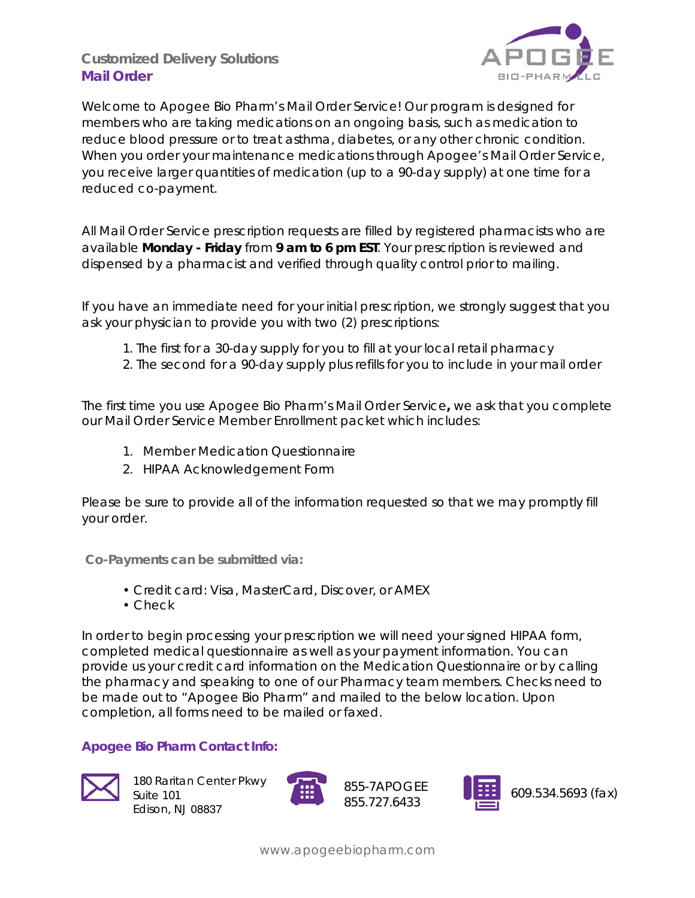# **Customized Delivery Solutions Mail Order**



Welcome to Apogee Bio Pharm's Mail Order Service! Our program is designed for members who are taking medications on an ongoing basis, such as medication to reduce blood pressure or to treat asthma, diabetes, or any other chronic condition. When you order your maintenance medications through Apogee's Mail Order Service, you receive larger quantities of medication (up to a 90-day supply) at one time for a reduced co-payment.

All Mail Order Service prescription requests are filled by registered pharmacists who are available **Monday - Friday** from **9 am to 6 pm EST**. Your prescription is reviewed and dispensed by a pharmacist and verified through quality control prior to mailing.

If you have an immediate need for your initial prescription, we strongly suggest that you ask your physician to provide you with two (2) prescriptions:

- 1. The first for a 30-day supply for you to fill at your local retail pharmacy
- 2. The second for a 90-day supply plus refills for you to include in your mail order

The first time you use Apogee Bio Pharm's Mail Order Service**,** we ask that you complete our Mail Order Service Member Enrollment packet which includes:

- 1. Member Medication Questionnaire
- 2. HIPAA Acknowledgement Form

Please be sure to provide all of the information requested so that we may promptly fill your order.

**Co-Payments can be submitted via:** 

- Credit card: Visa, MasterCard, Discover, or AMEX
- Check

In order to begin processing your prescription we will need your signed HIPAA form, completed medical questionnaire as well as your payment information. You can provide us your credit card information on the Medication Questionnaire or by calling the pharmacy and speaking to one of our Pharmacy team members. Checks need to be made out to "Apogee Bio Pharm" and mailed to the below location. Upon completion, all forms need to be mailed or faxed.

## **Apogee Bio Pharm Contact Info:**



180 Raritan Center Pkwy Suite 101 Edison, NJ 08837



855-7APOGEE 855.727.6433

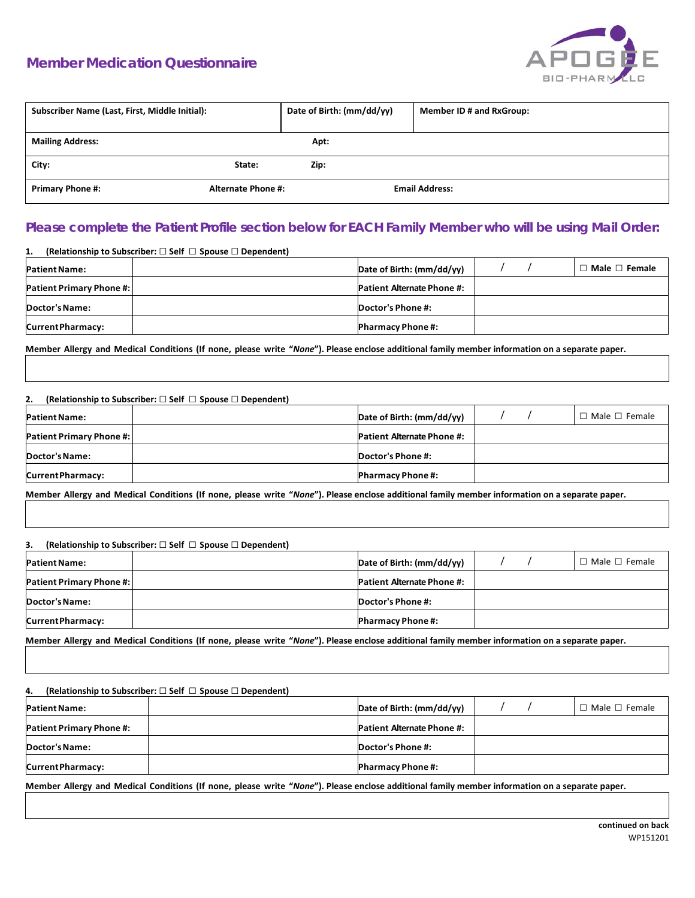## **Member Medication Questionnaire**



| Subscriber Name (Last, First, Middle Initial): |                           | Date of Birth: (mm/dd/yy) | Member ID # and RxGroup: |
|------------------------------------------------|---------------------------|---------------------------|--------------------------|
|                                                |                           |                           |                          |
| <b>Mailing Address:</b>                        |                           | Apt:                      |                          |
| City:                                          | State:                    | Zip:                      |                          |
| <b>Primary Phone #:</b>                        | <b>Alternate Phone #:</b> |                           | <b>Email Address:</b>    |

### **Please complete the Patient Profile section below for EACH Family Member who will be using Mail Order:**

| (Relationship to Subscriber: $\square$ Self $\square$ Spouse $\square$ Dependent)<br>1. |                                   |  |                           |
|-----------------------------------------------------------------------------------------|-----------------------------------|--|---------------------------|
| <b>Patient Name:</b>                                                                    | Date of Birth: (mm/dd/yy)         |  | $\Box$ Male $\Box$ Female |
| <b>Patient Primary Phone #:</b>                                                         | <b>Patient Alternate Phone #:</b> |  |                           |
| Doctor's Name:                                                                          | Doctor's Phone #:                 |  |                           |
| Current Pharmacy:                                                                       | <b>Pharmacy Phone #:</b>          |  |                           |

**Member Allergy and Medical Conditions (If none, please write "***None***"). Please enclose additional family member information on a separate paper.**

### **2. (Relationship to Subscriber:** □ **Self** □ **Spouse** □ **Dependent)**

| <b>Patient Name:</b>            | Date of Birth: (mm/dd/yy)         |  |  | Male □ Female |
|---------------------------------|-----------------------------------|--|--|---------------|
| <b>Patient Primary Phone #:</b> | <b>Patient Alternate Phone #:</b> |  |  |               |
| Doctor's Name:                  | Doctor's Phone #:                 |  |  |               |
| <b>Current Pharmacy:</b>        | <b>Pharmacy Phone #:</b>          |  |  |               |

**Member Allergy and Medical Conditions (If none, please write "***None***"). Please enclose additional family member information on a separate paper.**

| (Relationship to Subscriber: $\square$ Self $\square$ Spouse $\square$ Dependent)<br>3. |  |                                   |  |  |                           |
|-----------------------------------------------------------------------------------------|--|-----------------------------------|--|--|---------------------------|
| <b>Patient Name:</b>                                                                    |  | Date of Birth: (mm/dd/yy)         |  |  | $\Box$ Male $\Box$ Female |
| <b>Patient Primary Phone #:</b>                                                         |  | <b>Patient Alternate Phone #:</b> |  |  |                           |
| Doctor's Name:                                                                          |  | Doctor's Phone #:                 |  |  |                           |
| <b>Current Pharmacy:</b>                                                                |  | <b>Pharmacy Phone #:</b>          |  |  |                           |

**Member Allergy and Medical Conditions (If none, please write "***None***"). Please enclose additional family member information on a separate paper.**

| (Relationship to Subscriber: $\square$ Self $\square$ Spouse $\square$ Dependent)<br>4. |                                   |  |  |                           |  |
|-----------------------------------------------------------------------------------------|-----------------------------------|--|--|---------------------------|--|
| <b>Patient Name:</b>                                                                    | Date of Birth: (mm/dd/yy)         |  |  | $\Box$ Male $\Box$ Female |  |
| <b>Patient Primary Phone #:</b>                                                         | <b>Patient Alternate Phone #:</b> |  |  |                           |  |
| Doctor's Name:                                                                          | Doctor's Phone #:                 |  |  |                           |  |
| <b>Current Pharmacy:</b>                                                                | <b>Pharmacy Phone #:</b>          |  |  |                           |  |

**Member Allergy and Medical Conditions (If none, please write "***None***"). Please enclose additional family member information on a separate paper.**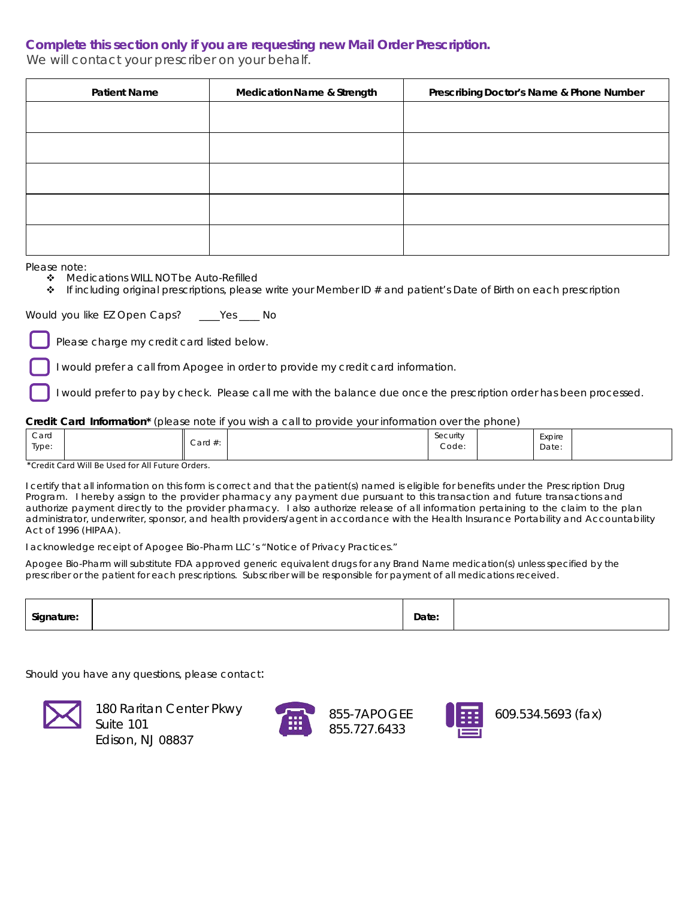### **Complete this section only if you are requesting new Mail Order Prescription.**

We will contact your prescriber on your behalf.

| <b>Patient Name</b> | <b>Medication Name &amp; Strength</b> | Prescribing Doctor's Name & Phone Number |  |  |
|---------------------|---------------------------------------|------------------------------------------|--|--|
|                     |                                       |                                          |  |  |
|                     |                                       |                                          |  |  |
|                     |                                       |                                          |  |  |
|                     |                                       |                                          |  |  |
|                     |                                       |                                          |  |  |

Please note:

- ◆ Medications WILL NOT be Auto-Refilled
- $\bullet$  If including original prescriptions, please write your Member ID # and patient's Date of Birth on each prescription

Would you like *EZ Open Caps*? \_\_\_\_Yes \_\_\_\_ No

Please charge my credit card listed below.

I would prefer a call from Apogee in order to provide my credit card information.

I would prefer to pay by check. Please call me with the balance due once the prescription order has been processed.

#### **Credit Card Information\*** (please note if you wish a call to provide your information over the phone)

| Card<br>Type: | Card $#$ :<br>. | Security<br>Code: | Expire<br>Date: |
|---------------|-----------------|-------------------|-----------------|
|---------------|-----------------|-------------------|-----------------|

#### \*Credit Card Will Be Used for All Future Orders.

I certify that all information on this form is correct and that the patient(s) named is eligible for benefits under the Prescription Drug Program. I hereby assign to the provider pharmacy any payment due pursuant to this transaction and future transactions and authorize payment directly to the provider pharmacy. I also authorize release of all information pertaining to the claim to the plan administrator, underwriter, sponsor, and health providers/agent in accordance with the *Health Insurance Portability and Accountability Act of 1996 (HIPAA).* 

I acknowledge receipt of Apogee Bio-Pharm LLC's *"Notice of Privacy Practices."* 

Apogee Bio-Pharm will substitute FDA approved generic equivalent drugs for any Brand Name medication(s) unless specified by the prescriber or the patient for each prescriptions. Subscriber will be responsible for payment of all medications received.

| ¶ai∩<br><br>ாப<br>. . | Date: |  |
|-----------------------|-------|--|
|                       |       |  |

Should you have any questions, please contact:



180 Raritan Center Pkwy Suite 101 Edison, NJ 08837



855-7APOGEE 855.727.6433



609.534.5693 (fax)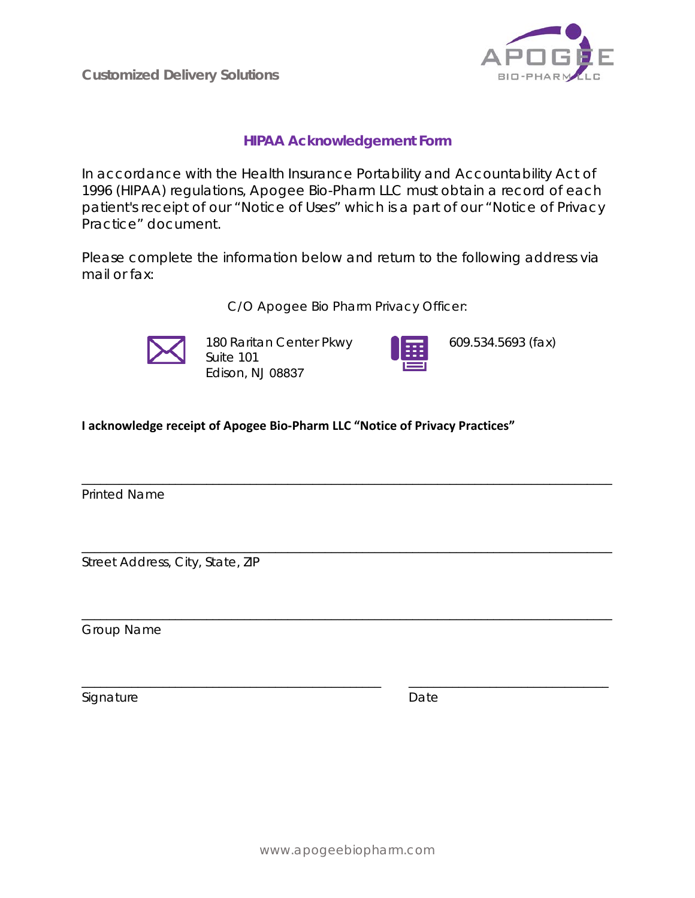**Customized Delivery Solutions**



## **HIPAA Acknowledgement Form**

In accordance with the Health Insurance Portability and Accountability Act of 1996 (HIPAA) regulations, Apogee Bio-Pharm LLC must obtain a record of each patient's receipt of our "Notice of Uses" which is a part of our "Notice of Privacy Practice" document.

Please complete the information below and return to the following address via mail or fax:

C/O Apogee Bio Pharm Privacy Officer:

\_\_\_\_\_\_\_\_\_\_\_\_\_\_\_\_\_\_\_\_\_\_\_\_\_\_\_\_\_\_\_\_\_\_\_\_\_\_\_\_\_\_\_\_\_\_\_\_\_\_\_\_\_\_\_\_\_\_\_\_\_\_\_\_\_\_\_\_\_\_\_\_\_\_\_\_\_\_\_\_\_\_\_\_\_

\_\_\_\_\_\_\_\_\_\_\_\_\_\_\_\_\_\_\_\_\_\_\_\_\_\_\_\_\_\_\_\_\_\_\_\_\_\_\_\_\_\_\_\_\_\_\_\_\_\_\_\_\_\_\_\_\_\_\_\_\_\_\_\_\_\_\_\_\_\_\_\_\_\_\_\_\_\_\_\_\_\_\_\_\_

\_\_\_\_\_\_\_\_\_\_\_\_\_\_\_\_\_\_\_\_\_\_\_\_\_\_\_\_\_\_\_\_\_\_\_\_\_\_\_\_\_\_\_\_\_\_\_\_\_\_\_\_\_\_\_\_\_\_\_\_\_\_\_\_\_\_\_\_\_\_\_\_\_\_\_\_\_\_\_\_\_\_\_\_\_

\_\_\_\_\_\_\_\_\_\_\_\_\_\_\_\_\_\_\_\_\_\_\_\_\_\_\_\_\_\_\_\_\_\_\_\_\_\_\_\_\_\_\_\_\_\_\_\_ \_\_\_\_\_\_\_\_\_\_\_\_\_\_\_\_\_\_\_\_\_\_\_\_\_\_\_\_\_\_\_\_



180 Raritan Center Pkwy Suite 101 Edison, NJ 08837



609.534.5693 (fax)

**I acknowledge receipt of Apogee Bio-Pharm LLC "Notice of Privacy Practices"**

Printed Name

Street Address, City, State, ZIP

Group Name

Signature Date Date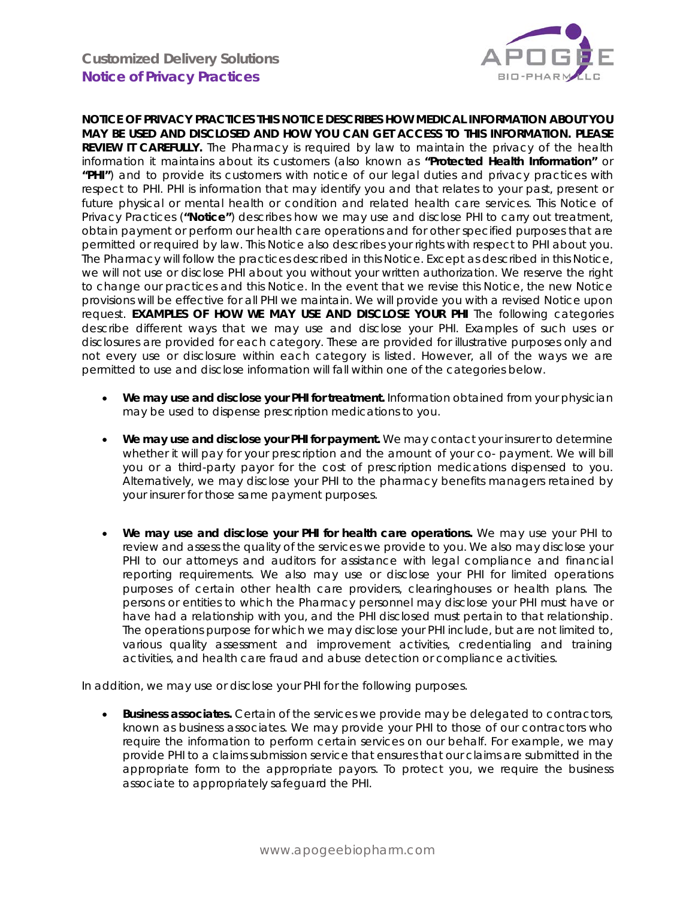

**NOTICE OF PRIVACY PRACTICES THIS NOTICE DESCRIBES HOW MEDICAL INFORMATION ABOUT YOU MAY BE USED AND DISCLOSED AND HOW YOU CAN GET ACCESS TO THIS INFORMATION. PLEASE REVIEW IT CAREFULLY.** The Pharmacy is required by law to maintain the privacy of the health information it maintains about its customers (also known as **"Protected Health Information"** or **"PHI"**) and to provide its customers with notice of our legal duties and privacy practices with respect to PHI. PHI is information that may identify you and that relates to your past, present or future physical or mental health or condition and related health care services. This Notice of Privacy Practices (**"Notice"**) describes how we may use and disclose PHI to carry out treatment, obtain payment or perform our health care operations and for other specified purposes that are permitted or required by law. This Notice also describes your rights with respect to PHI about you. The Pharmacy will follow the practices described in this Notice. Except as described in this Notice, we will not use or disclose PHI about you without your written authorization. We reserve the right to change our practices and this Notice. In the event that we revise this Notice, the new Notice provisions will be effective for all PHI we maintain. We will provide you with a revised Notice upon request. **EXAMPLES OF HOW WE MAY USE AND DISCLOSE YOUR PHI** The following categories describe different ways that we may use and disclose your PHI. Examples of such uses or disclosures are provided for each category. These are provided for illustrative purposes only and not every use or disclosure within each category is listed. However, all of the ways we are permitted to use and disclose information will fall within one of the categories below.

- **We may use and disclose your PHI for treatment.** Information obtained from your physician may be used to dispense prescription medications to you.
- **We may use and disclose your PHI for payment.** We may contact your insurer to determine whether it will pay for your prescription and the amount of your co- payment. We will bill you or a third-party payor for the cost of prescription medications dispensed to you. Alternatively, we may disclose your PHI to the pharmacy benefits managers retained by your insurer for those same payment purposes.
- **We may use and disclose your PHI for health care operations.** We may use your PHI to review and assess the quality of the services we provide to you. We also may disclose your PHI to our attorneys and auditors for assistance with legal compliance and financial reporting requirements. We also may use or disclose your PHI for limited operations purposes of certain other health care providers, clearinghouses or health plans. The persons or entities to which the Pharmacy personnel may disclose your PHI must have or have had a relationship with you, and the PHI disclosed must pertain to that relationship. The operations purpose for which we may disclose your PHI include, but are not limited to, various quality assessment and improvement activities, credentialing and training activities, and health care fraud and abuse detection or compliance activities.

In addition, we may use or disclose your PHI for the following purposes.

• **Business associates.** Certain of the services we provide may be delegated to contractors, known as business associates. We may provide your PHI to those of our contractors who require the information to perform certain services on our behalf. For example, we may provide PHI to a claims submission service that ensures that our claims are submitted in the appropriate form to the appropriate payors. To protect you, we require the business associate to appropriately safeguard the PHI.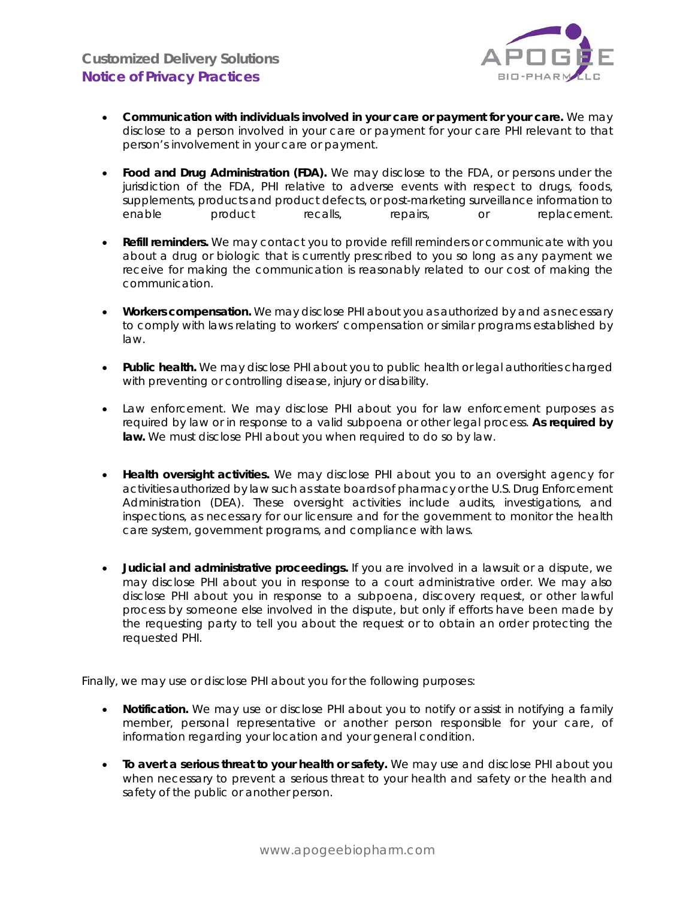

- **Communication with individuals involved in your care or payment for your care.** We may disclose to a person involved in your care or payment for your care PHI relevant to that person's involvement in your care or payment.
- **Food and Drug Administration (FDA).** We may disclose to the FDA, or persons under the jurisdiction of the FDA, PHI relative to adverse events with respect to drugs, foods, supplements, products and product defects, or post-marketing surveillance information to enable product recalls, repairs, or replacement.
- **Refill reminders.** We may contact you to provide refill reminders or communicate with you about a drug or biologic that is currently prescribed to you so long as any payment we receive for making the communication is reasonably related to our cost of making the communication.
- **Workers compensation.** We may disclose PHI about you as authorized by and as necessary to comply with laws relating to workers' compensation or similar programs established by law.
- **Public health.** We may disclose PHI about you to public health or legal authorities charged with preventing or controlling disease, injury or disability.
- Law enforcement. We may disclose PHI about you for law enforcement purposes as required by law or in response to a valid subpoena or other legal process. **As required by law.** We must disclose PHI about you when required to do so by law.
- **Health oversight activities.** We may disclose PHI about you to an oversight agency for activities authorized by law such as state boards of pharmacy or the U.S. Drug Enforcement Administration (DEA). These oversight activities include audits, investigations, and inspections, as necessary for our licensure and for the government to monitor the health care system, government programs, and compliance with laws.
- **Judicial and administrative proceedings.** If you are involved in a lawsuit or a dispute, we may disclose PHI about you in response to a court administrative order. We may also disclose PHI about you in response to a subpoena, discovery request, or other lawful process by someone else involved in the dispute, but only if efforts have been made by the requesting party to tell you about the request or to obtain an order protecting the requested PHI.

Finally, we may use or disclose PHI about you for the following purposes:

- **Notification.** We may use or disclose PHI about you to notify or assist in notifying a family member, personal representative or another person responsible for your care, of information regarding your location and your general condition.
- **To avert a serious threat to your health or safety.** We may use and disclose PHI about you when necessary to prevent a serious threat to your health and safety or the health and safety of the public or another person.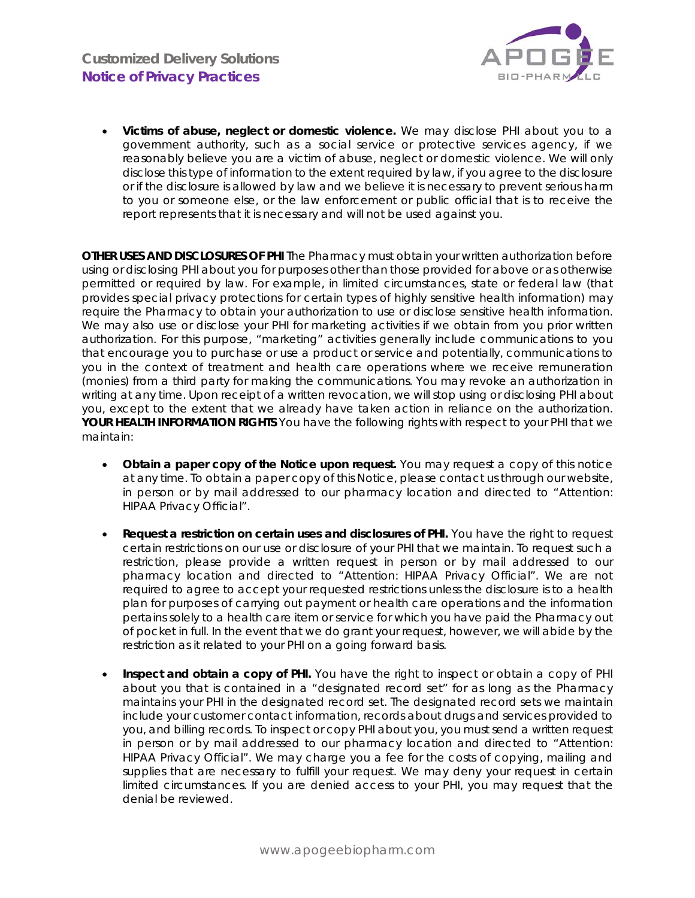

• **Victims of abuse, neglect or domestic violence.** We may disclose PHI about you to a government authority, such as a social service or protective services agency, if we reasonably believe you are a victim of abuse, neglect or domestic violence. We will only disclose this type of information to the extent required by law, if you agree to the disclosure or if the disclosure is allowed by law and we believe it is necessary to prevent serious harm to you or someone else, or the law enforcement or public official that is to receive the report represents that it is necessary and will not be used against you.

**OTHER USES AND DISCLOSURES OF PHI** The Pharmacy must obtain your written authorization before using or disclosing PHI about you for purposes other than those provided for above or as otherwise permitted or required by law. For example, in limited circumstances, state or federal law (that provides special privacy protections for certain types of highly sensitive health information) may require the Pharmacy to obtain your authorization to use or disclose sensitive health information. We may also use or disclose your PHI for marketing activities if we obtain from you prior written authorization. For this purpose, "marketing" activities generally include communications to you that encourage you to purchase or use a product or service and potentially, communications to you in the context of treatment and health care operations where we receive remuneration (monies) from a third party for making the communications. You may revoke an authorization in writing at any time. Upon receipt of a written revocation, we will stop using or disclosing PHI about you, except to the extent that we already have taken action in reliance on the authorization. **YOUR HEALTH INFORMATION RIGHTS** You have the following rights with respect to your PHI that we maintain:

- **Obtain a paper copy of the Notice upon request.** You may request a copy of this notice at any time. To obtain a paper copy of this Notice, please contact us through our website, in person or by mail addressed to our pharmacy location and directed to "Attention: HIPAA Privacy Official".
- **Request a restriction on certain uses and disclosures of PHI.** You have the right to request certain restrictions on our use or disclosure of your PHI that we maintain. To request such a restriction, please provide a written request in person or by mail addressed to our pharmacy location and directed to "Attention: HIPAA Privacy Official". We are not required to agree to accept your requested restrictions unless the disclosure is to a health plan for purposes of carrying out payment or health care operations and the information pertains solely to a health care item or service for which you have paid the Pharmacy out of pocket in full. In the event that we do grant your request, however, we will abide by the restriction as it related to your PHI on a going forward basis.
- **Inspect and obtain a copy of PHI.** You have the right to inspect or obtain a copy of PHI about you that is contained in a "designated record set" for as long as the Pharmacy maintains your PHI in the designated record set. The designated record sets we maintain include your customer contact information, records about drugs and services provided to you, and billing records. To inspect or copy PHI about you, you must send a written request in person or by mail addressed to our pharmacy location and directed to "Attention: HIPAA Privacy Official". We may charge you a fee for the costs of copying, mailing and supplies that are necessary to fulfill your request. We may deny your request in certain limited circumstances. If you are denied access to your PHI, you may request that the denial be reviewed.